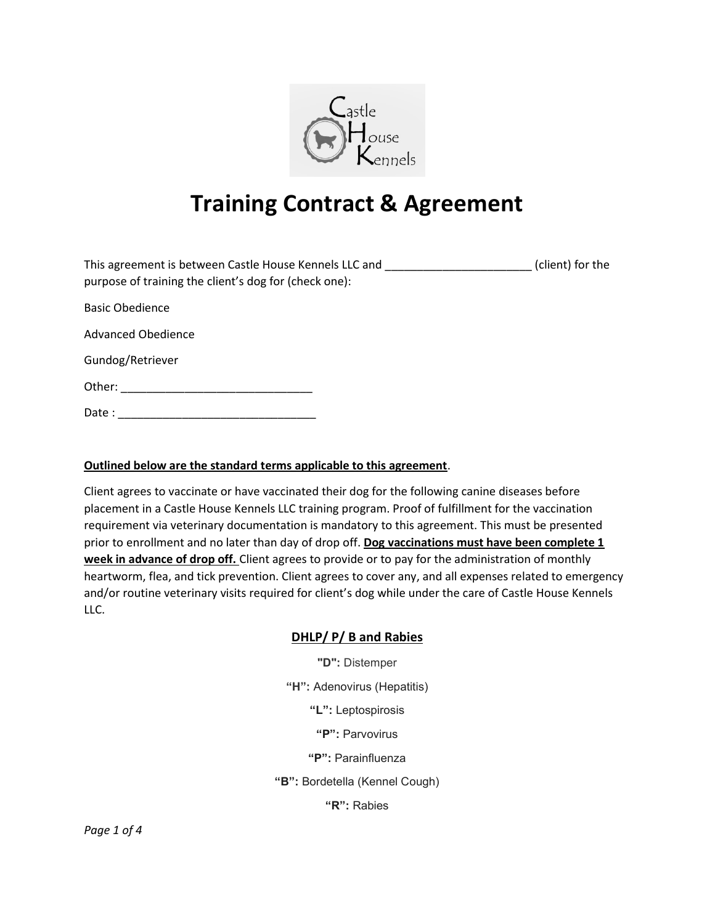

# Training Contract & Agreement

| This agreement is between Castle House Kennels LLC and<br>purpose of training the client's dog for (check one): | (client) for the |
|-----------------------------------------------------------------------------------------------------------------|------------------|
| <b>Basic Obedience</b>                                                                                          |                  |
| <b>Advanced Obedience</b>                                                                                       |                  |
| Gundog/Retriever                                                                                                |                  |
| Other:                                                                                                          |                  |
| Date:                                                                                                           |                  |

### Outlined below are the standard terms applicable to this agreement.

Client agrees to vaccinate or have vaccinated their dog for the following canine diseases before placement in a Castle House Kennels LLC training program. Proof of fulfillment for the vaccination requirement via veterinary documentation is mandatory to this agreement. This must be presented prior to enrollment and no later than day of drop off. Dog vaccinations must have been complete 1 week in advance of drop off. Client agrees to provide or to pay for the administration of monthly heartworm, flea, and tick prevention. Client agrees to cover any, and all expenses related to emergency and/or routine veterinary visits required for client's dog while under the care of Castle House Kennels LLC.

### DHLP/ P/ B and Rabies

"D": Distemper "H": Adenovirus (Hepatitis) "L": Leptospirosis "P": Parvovirus "P": Parainfluenza "B": Bordetella (Kennel Cough)

"R": Rabies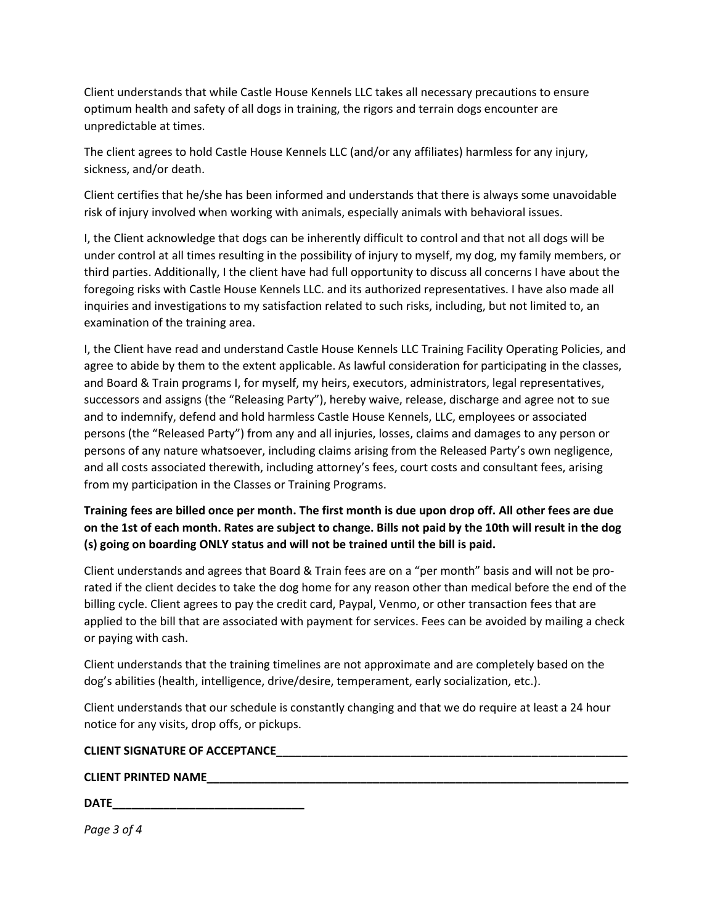Client understands that while Castle House Kennels LLC takes all necessary precautions to ensure optimum health and safety of all dogs in training, the rigors and terrain dogs encounter are unpredictable at times.

The client agrees to hold Castle House Kennels LLC (and/or any affiliates) harmless for any injury, sickness, and/or death.

Client certifies that he/she has been informed and understands that there is always some unavoidable risk of injury involved when working with animals, especially animals with behavioral issues.

I, the Client acknowledge that dogs can be inherently difficult to control and that not all dogs will be under control at all times resulting in the possibility of injury to myself, my dog, my family members, or third parties. Additionally, I the client have had full opportunity to discuss all concerns I have about the foregoing risks with Castle House Kennels LLC. and its authorized representatives. I have also made all inquiries and investigations to my satisfaction related to such risks, including, but not limited to, an examination of the training area.

I, the Client have read and understand Castle House Kennels LLC Training Facility Operating Policies, and agree to abide by them to the extent applicable. As lawful consideration for participating in the classes, and Board & Train programs I, for myself, my heirs, executors, administrators, legal representatives, successors and assigns (the "Releasing Party"), hereby waive, release, discharge and agree not to sue and to indemnify, defend and hold harmless Castle House Kennels, LLC, employees or associated persons (the "Released Party") from any and all injuries, losses, claims and damages to any person or persons of any nature whatsoever, including claims arising from the Released Party's own negligence, and all costs associated therewith, including attorney's fees, court costs and consultant fees, arising from my participation in the Classes or Training Programs.

Training fees are billed once per month. The first month is due upon drop off. All other fees are due on the 1st of each month. Rates are subject to change. Bills not paid by the 10th will result in the dog (s) going on boarding ONLY status and will not be trained until the bill is paid.

Client understands and agrees that Board & Train fees are on a "per month" basis and will not be prorated if the client decides to take the dog home for any reason other than medical before the end of the billing cycle. Client agrees to pay the credit card, Paypal, Venmo, or other transaction fees that are applied to the bill that are associated with payment for services. Fees can be avoided by mailing a check or paying with cash.

Client understands that the training timelines are not approximate and are completely based on the dog's abilities (health, intelligence, drive/desire, temperament, early socialization, etc.).

Client understands that our schedule is constantly changing and that we do require at least a 24 hour notice for any visits, drop offs, or pickups.

#### CLIENT SIGNATURE OF ACCEPTANCE\_\_\_\_\_\_\_\_\_\_\_\_\_\_\_\_\_\_\_\_\_\_\_\_\_\_\_\_\_\_\_\_\_\_\_\_\_\_\_\_\_\_\_\_\_\_\_\_\_\_\_\_\_\_\_

#### CLIENT PRINTED NAME

| <b>DATE</b> |  |  |
|-------------|--|--|
|             |  |  |

Page 3 of 4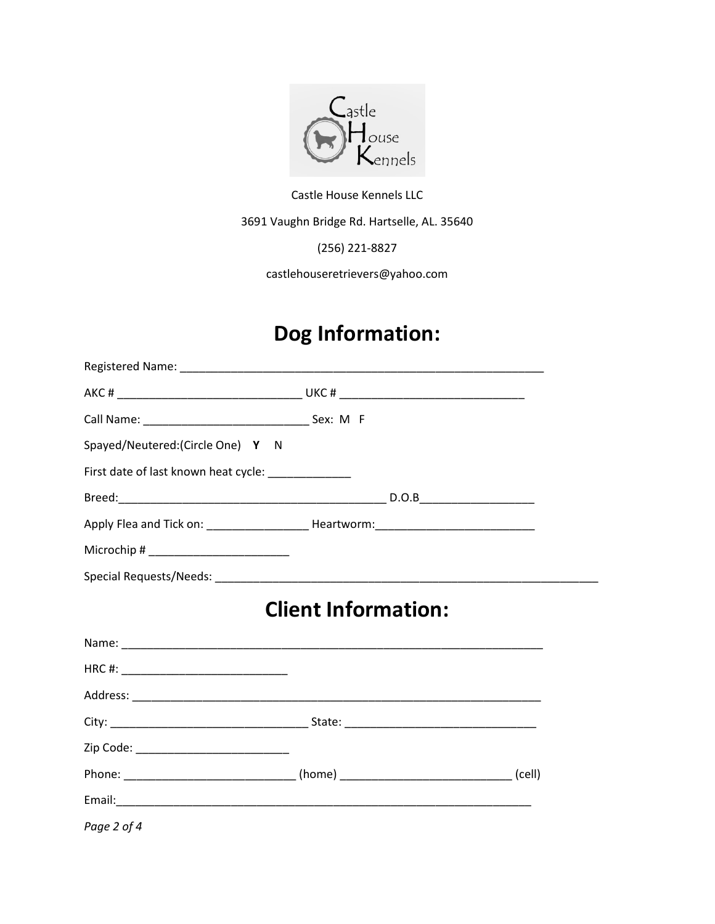

Castle House Kennels LLC

3691 Vaughn Bridge Rd. Hartselle, AL. 35640

(256) 221-8827

castlehouseretrievers@yahoo.com

# Dog Information:

| Spayed/Neutered:(Circle One) Y N                     |                                                                                      |  |
|------------------------------------------------------|--------------------------------------------------------------------------------------|--|
| First date of last known heat cycle: _______________ |                                                                                      |  |
|                                                      |                                                                                      |  |
|                                                      |                                                                                      |  |
|                                                      |                                                                                      |  |
|                                                      |                                                                                      |  |
|                                                      | <b>Client Information:</b>                                                           |  |
|                                                      |                                                                                      |  |
|                                                      |                                                                                      |  |
|                                                      |                                                                                      |  |
|                                                      |                                                                                      |  |
| Zip Code: ______________________________             |                                                                                      |  |
|                                                      | Phone: _______________________________(home) _________________________________(cell) |  |
|                                                      |                                                                                      |  |
| Page 2 of 4                                          |                                                                                      |  |